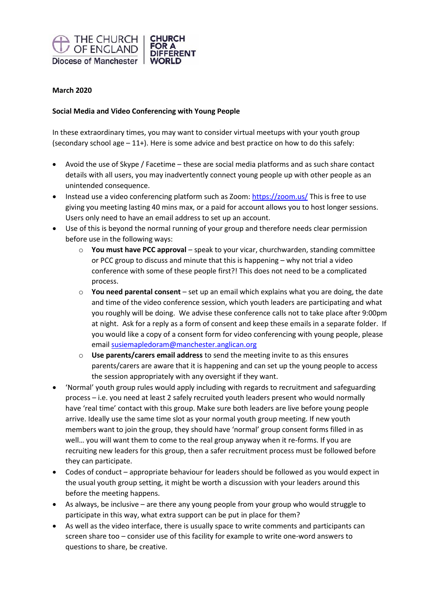

## **March 2020**

## **Social Media and Video Conferencing with Young People**

In these extraordinary times, you may want to consider virtual meetups with your youth group (secondary school age  $-11+$ ). Here is some advice and best practice on how to do this safely:

- Avoid the use of Skype / Facetime these are social media platforms and as such share contact details with all users, you may inadvertently connect young people up with other people as an unintended consequence.
- Instead use a video conferencing platform such as Zoom[: https://zoom.us/](https://zoom.us/) This is free to use giving you meeting lasting 40 mins max, or a paid for account allows you to host longer sessions. Users only need to have an email address to set up an account.
- Use of this is beyond the normal running of your group and therefore needs clear permission before use in the following ways:
	- o **You must have PCC approval** speak to your vicar, churchwarden, standing committee or PCC group to discuss and minute that this is happening – why not trial a video conference with some of these people first?! This does not need to be a complicated process.
	- o **You need parental consent** set up an email which explains what you are doing, the date and time of the video conference session, which youth leaders are participating and what you roughly will be doing. We advise these conference calls not to take place after 9:00pm at night. Ask for a reply as a form of consent and keep these emails in a separate folder. If you would like a copy of a consent form for video conferencing with young people, please email [susiemapledoram@manchester.anglican.org](mailto:susiemapledoram@manchester.anglican.org)
	- o **Use parents/carers email address** to send the meeting invite to as this ensures parents/carers are aware that it is happening and can set up the young people to access the session appropriately with any oversight if they want.
- 'Normal' youth group rules would apply including with regards to recruitment and safeguarding process – i.e. you need at least 2 safely recruited youth leaders present who would normally have 'real time' contact with this group. Make sure both leaders are live before young people arrive. Ideally use the same time slot as your normal youth group meeting. If new youth members want to join the group, they should have 'normal' group consent forms filled in as well… you will want them to come to the real group anyway when it re-forms. If you are recruiting new leaders for this group, then a safer recruitment process must be followed before they can participate.
- Codes of conduct appropriate behaviour for leaders should be followed as you would expect in the usual youth group setting, it might be worth a discussion with your leaders around this before the meeting happens.
- As always, be inclusive are there any young people from your group who would struggle to participate in this way, what extra support can be put in place for them?
- As well as the video interface, there is usually space to write comments and participants can screen share too – consider use of this facility for example to write one-word answers to questions to share, be creative.